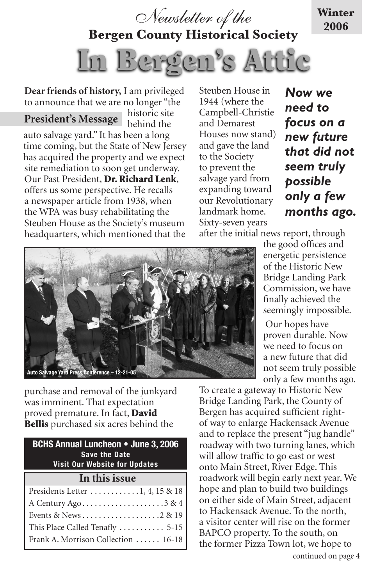

**Bergen County Historical Society**

In Bergen's Attic

**Dear friends of history,** I am privileged to announce that we are no longer "the

historic site behind the auto salvage yard." It has been a long time coming, but the State of New Jersey has acquired the property and we expect site remediation to soon get underway. Our Past President, Dr. Richard Lenk, offers us some perspective. He recalls a newspaper article from 1938, when the WPA was busy rehabilitating the Steuben House as the Society's museum headquarters, which mentioned that the **President's Message**

Steuben House in 1944 (where the Campbell-Christie and Demarest Houses now stand) and gave the land to the Society to prevent the salvage yard from expanding toward our Revolutionary landmark home. Sixty-seven years

*Now we need to focus on a new future that did not seem truly possible only a few months ago.* 

**Winter 2006**

after the initial news report, through



purchase and removal of the junkyard was imminent. That expectation proved premature. In fact, **David** Bellis purchased six acres behind the

| <b>BCHS Annual Luncheon • June 3, 2006</b><br><b>Save the Date</b><br><b>Visit Our Website for Updates</b> |
|------------------------------------------------------------------------------------------------------------|
| In this issue                                                                                              |
| Presidents Letter $\dots\dots\dots\dots1, 4, 15 \& 18$                                                     |
| A Century Ago3 & 4                                                                                         |
|                                                                                                            |
| This Place Called Tenafly  5-15                                                                            |
| Frank A. Morrison Collection  16-18                                                                        |

the good offices and energetic persistence of the Historic New Bridge Landing Park Commission, we have finally achieved the seemingly impossible.

 Our hopes have proven durable. Now we need to focus on a new future that did not seem truly possible only a few months ago.

To create a gateway to Historic New Bridge Landing Park, the County of Bergen has acquired sufficient rightof way to enlarge Hackensack Avenue and to replace the present "jug handle" roadway with two turning lanes, which will allow traffic to go east or west onto Main Street, River Edge. This roadwork will begin early next year. We hope and plan to build two buildings on either side of Main Street, adjacent to Hackensack Avenue. To the north, a visitor center will rise on the former BAPCO property. To the south, on the former Pizza Town lot, we hope to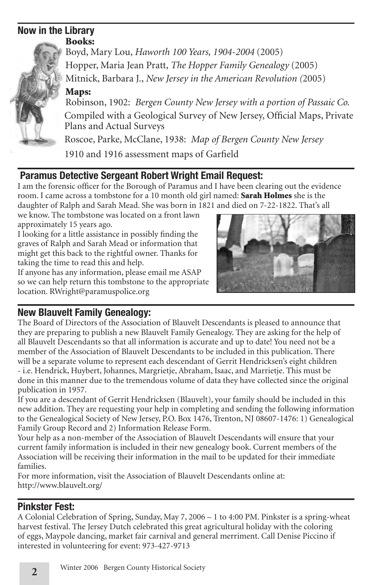### **Now in the Library** Books:



Boyd, Mary Lou, *Haworth 100 Years, 1904-2004* (2005) Hopper, Maria Jean Pratt, *The Hopper Family Genealogy* (2005) Mitnick, Barbara J., *New Jersey in the American Revolution (*2005)

# Maps:

Robinson, 1902: *Bergen County New Jersey with a portion of Passaic Co.*  Compiled with a Geological Survey of New Jersey, Official Maps, Private Plans and Actual Surveys

Roscoe, Parke, McClane, 1938: *Map of Bergen County New Jersey*

1910 and 1916 assessment maps of Garfield

# **Paramus Detective Sergeant Robert Wright Email Request:**

I am the forensic officer for the Borough of Paramus and I have been clearing out the evidence room. I came across a tombstone for a 10 month old girl named: **Sarah Holmes** she is the daughter of Ralph and Sarah Mead. She was born in 1821 and died on 7-22-1822. That's all

we know. The tombstone was located on a front lawn approximately 15 years ago.

I looking for a little assistance in possibly finding the graves of Ralph and Sarah Mead or information that might get this back to the rightful owner. Thanks for taking the time to read this and help.

If anyone has any information, please email me ASAP so we can help return this tombstone to the appropriate location. RWright@paramuspolice.org



# **New Blauvelt Family Genealogy:**

The Board of Directors of the Association of Blauvelt Descendants is pleased to announce that they are preparing to publish a new Blauvelt Family Genealogy. They are asking for the help of all Blauvelt Descendants so that all information is accurate and up to date! You need not be a member of the Association of Blauvelt Descendants to be included in this publication. There will be a separate volume to represent each descendant of Gerrit Hendricksen's eight children - i.e. Hendrick, Huybert, Johannes, Margrietje, Abraham, Isaac, and Marrietje. This must be done in this manner due to the tremendous volume of data they have collected since the original publication in 1957.

If you are a descendant of Gerrit Hendricksen (Blauvelt), your family should be included in this new addition. They are requesting your help in completing and sending the following information to the Genealogical Society of New Jersey, P.O. Box 1476, Trenton, NJ 08607-1476: 1) Genealogical Family Group Record and 2) Information Release Form.

Your help as a non-member of the Association of Blauvelt Descendants will ensure that your current family information is included in their new genealogy book. Current members of the Association will be receiving their information in the mail to be updated for their immediate families.

For more information, visit the Association of Blauvelt Descendants online at: http://www.blauvelt.org/

# **Pinkster Fest:**

A Colonial Celebration of Spring, Sunday, May 7, 2006 – 1 to 4:00 PM. Pinkster is a spring-wheat harvest festival. The Jersey Dutch celebrated this great agricultural holiday with the coloring of eggs, Maypole dancing, market fair carnival and general merriment. Call Denise Piccino if interested in volunteering for event: 973-427-9713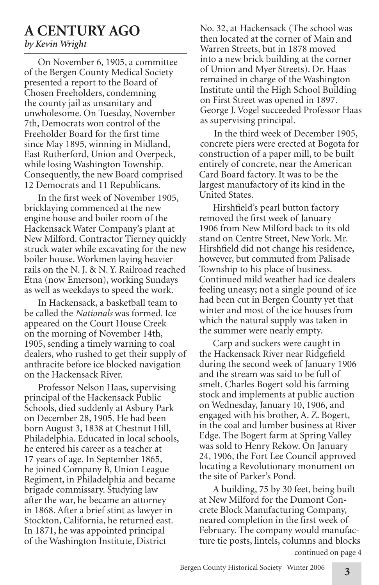# **A CENTURY AGO**

# *by Kevin Wright*

On November 6, 1905, a committee of the Bergen County Medical Society presented a report to the Board of Chosen Freeholders, condemning the county jail as unsanitary and unwholesome. On Tuesday, November 7th, Democrats won control of the Freeholder Board for the first time since May 1895, winning in Midland, East Rutherford, Union and Overpeck, while losing Washington Township. Consequently, the new Board comprised 12 Democrats and 11 Republicans.

In the first week of November 1905, bricklaying commenced at the new engine house and boiler room of the Hackensack Water Company's plant at New Milford. Contractor Tierney quickly struck water while excavating for the new boiler house. Workmen laying heavier rails on the N. J. & N. Y. Railroad reached Etna (now Emerson), working Sundays as well as weekdays to speed the work.

In Hackensack, a basketball team to be called the *Nationals* was formed. Ice appeared on the Court House Creek on the morning of November 14th, 1905, sending a timely warning to coal dealers, who rushed to get their supply of anthracite before ice blocked navigation on the Hackensack River.

Professor Nelson Haas, supervising principal of the Hackensack Public Schools, died suddenly at Asbury Park on December 28, 1905. He had been born August 3, 1838 at Chestnut Hill, Philadelphia. Educated in local schools, he entered his career as a teacher at 17 years of age. In September 1865, he joined Company B, Union League Regiment, in Philadelphia and became brigade commissary. Studying law after the war, he became an attorney in 1868. After a brief stint as lawyer in Stockton, California, he returned east. In 1871, he was appointed principal of the Washington Institute, District

No. 32, at Hackensack (The school was then located at the corner of Main and Warren Streets, but in 1878 moved into a new brick building at the corner of Union and Myer Streets). Dr. Haas remained in charge of the Washington Institute until the High School Building on First Street was opened in 1897. George J. Vogel succeeded Professor Haas as supervising principal.

In the third week of December 1905, concrete piers were erected at Bogota for construction of a paper mill, to be built entirely of concrete, near the American Card Board factory. It was to be the largest manufactory of its kind in the United States.

Hirshfield's pearl button factory removed the first week of January 1906 from New Milford back to its old stand on Centre Street, New York. Mr. Hirshfield did not change his residence, however, but commuted from Palisade Township to his place of business. Continued mild weather had ice dealers feeling uneasy; not a single pound of ice had been cut in Bergen County yet that winter and most of the ice houses from which the natural supply was taken in the summer were nearly empty.

Carp and suckers were caught in the Hackensack River near Ridgefield during the second week of January 1906 and the stream was said to be full of smelt. Charles Bogert sold his farming stock and implements at public auction on Wednesday, January 10, 1906, and engaged with his brother, A. Z. Bogert, in the coal and lumber business at River Edge. The Bogert farm at Spring Valley was sold to Henry Rekow. On January 24, 1906, the Fort Lee Council approved locating a Revolutionary monument on the site of Parker's Pond.

A building, 75 by 30 feet, being built at New Milford for the Dumont Concrete Block Manufacturing Company, neared completion in the first week of February. The company would manufacture tie posts, lintels, columns and blocks continued on page 4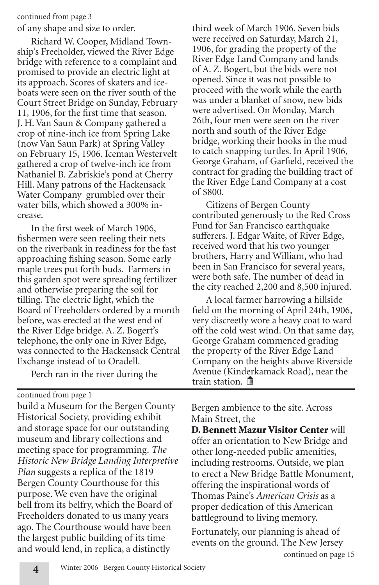#### continued from page 3

of any shape and size to order.

Richard W. Cooper, Midland Township's Freeholder, viewed the River Edge bridge with reference to a complaint and promised to provide an electric light at its approach. Scores of skaters and iceboats were seen on the river south of the Court Street Bridge on Sunday, February 11, 1906, for the first time that season. J. H. Van Saun & Company gathered a crop of nine-inch ice from Spring Lake (now Van Saun Park) at Spring Valley on February 15, 1906. Iceman Westervelt gathered a crop of twelve-inch ice from Nathaniel B. Zabriskie's pond at Cherry Hill. Many patrons of the Hackensack Water Company grumbled over their water bills, which showed a 300% increase.

In the first week of March 1906, fishermen were seen reeling their nets on the riverbank in readiness for the fast approaching fishing season. Some early maple trees put forth buds. Farmers in this garden spot were spreading fertilizer and otherwise preparing the soil for tilling. The electric light, which the Board of Freeholders ordered by a month before, was erected at the west end of the River Edge bridge. A. Z. Bogert's telephone, the only one in River Edge, was connected to the Hackensack Central Exchange instead of to Oradell.

Perch ran in the river during the

continued from page 1

build a Museum for the Bergen County Historical Society, providing exhibit and storage space for our outstanding museum and library collections and meeting space for programming. *The Historic New Bridge Landing Interpretive Plan* suggests a replica of the 1819 Bergen County Courthouse for this purpose. We even have the original bell from its belfry, which the Board of Freeholders donated to us many years ago. The Courthouse would have been the largest public building of its time and would lend, in replica, a distinctly

third week of March 1906. Seven bids were received on Saturday, March 21, 1906, for grading the property of the River Edge Land Company and lands of A. Z. Bogert, but the bids were not opened. Since it was not possible to proceed with the work while the earth was under a blanket of snow, new bids were advertised. On Monday, March 26th, four men were seen on the river north and south of the River Edge bridge, working their hooks in the mud to catch snapping turtles. In April 1906, George Graham, of Garfield, received the contract for grading the building tract of the River Edge Land Company at a cost of \$800.

Citizens of Bergen County contributed generously to the Red Cross Fund for San Francisco earthquake sufferers. J. Edgar Waite, of River Edge, received word that his two younger brothers, Harry and William, who had been in San Francisco for several years, were both safe. The number of dead in the city reached 2,200 and 8,500 injured.

A local farmer harrowing a hillside field on the morning of April 24th, 1906, very discreetly wore a heavy coat to ward off the cold west wind. On that same day, George Graham commenced grading the property of the River Edge Land Company on the heights above Riverside Avenue (Kinderkamack Road), near the train station. **m** 

Bergen ambience to the site. Across Main Street, the

D. Bennett Mazur Visitor Center will offer an orientation to New Bridge and other long-needed public amenities, including restrooms. Outside, we plan to erect a New Bridge Battle Monument, offering the inspirational words of Thomas Paine's *American Crisis* as a proper dedication of this American battleground to living memory.

continued on page 15 Fortunately, our planning is ahead of events on the ground. The New Jersey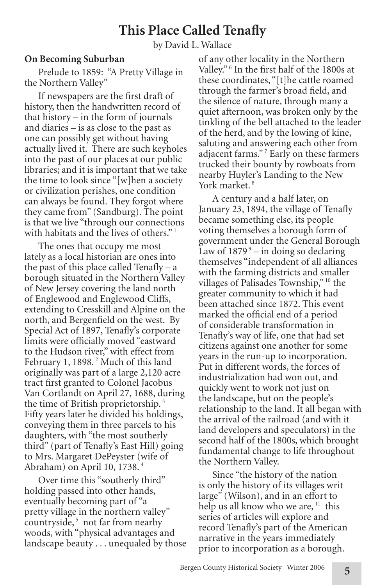# **This Place Called Tenafly**

by David L. Wallace

### **On Becoming Suburban**

Prelude to 1859: "A Pretty Village in the Northern Valley"

If newspapers are the first draft of history, then the handwritten record of that history – in the form of journals and diaries – is as close to the past as one can possibly get without having actually lived it. There are such keyholes into the past of our places at our public libraries; and it is important that we take the time to look since "[w]hen a society or civilization perishes, one condition can always be found. They forgot where they came from" (Sandburg). The point is that we live "through our connections with habitats and the lives of others."<sup>1</sup>

The ones that occupy me most lately as a local historian are ones into the past of this place called Tenafly – a borough situated in the Northern Valley of New Jersey covering the land north of Englewood and Englewood Cliffs, extending to Cresskill and Alpine on the north, and Bergenfield on the west. By Special Act of 1897, Tenafly's corporate limits were officially moved "eastward to the Hudson river," with effect from February 1, 1898.<sup>2</sup> Much of this land originally was part of a large 2,120 acre tract first granted to Colonel Jacobus Van Cortlandt on April 27, 1688, during the time of British proprietorship.<sup>3</sup> Fifty years later he divided his holdings, conveying them in three parcels to his daughters, with "the most southerly third" (part of Tenafly's East Hill) going to Mrs. Margaret DePeyster (wife of Abraham) on April 10, 1738. <sup>4</sup>

Over time this "southerly third" holding passed into other hands, eventually becoming part of "a pretty village in the northern valley" countryside,<sup>5</sup> not far from nearby woods, with "physical advantages and landscape beauty . . . unequaled by those of any other locality in the Northern Valley."<sup>6</sup> In the first half of the 1800s at these coordinates, "[t]he cattle roamed through the farmer's broad field, and the silence of nature, through many a quiet afternoon, was broken only by the tinkling of the bell attached to the leader of the herd, and by the lowing of kine, saluting and answering each other from adjacent farms."<sup>7</sup> Early on these farmers trucked their bounty by rowboats from nearby Huyler's Landing to the New York market.<sup>8</sup>

A century and a half later, on January 23, 1894, the village of Tenafly became something else, its people voting themselves a borough form of government under the General Borough Law of  $1879^\circ$  – in doing so declaring themselves "independent of all alliances with the farming districts and smaller villages of Palisades Township,"<sup>10</sup> the greater community to which it had been attached since 1872. This event marked the official end of a period of considerable transformation in Tenafly's way of life, one that had set citizens against one another for some years in the run-up to incorporation. Put in different words, the forces of industrialization had won out, and quickly went to work not just on the landscape, but on the people's relationship to the land. It all began with the arrival of the railroad (and with it land developers and speculators) in the second half of the 1800s, which brought fundamental change to life throughout the Northern Valley.

Since "the history of the nation is only the history of its villages writ large" (Wilson), and in an effort to help us all know who we are,<sup>11</sup> this series of articles will explore and record Tenafly's part of the American narrative in the years immediately prior to incorporation as a borough.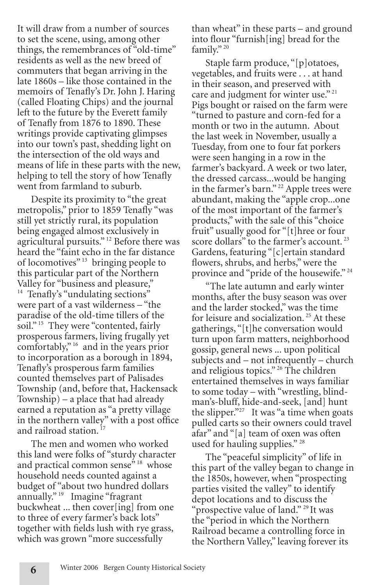It will draw from a number of sources to set the scene, using, among other things, the remembrances of "old-time" residents as well as the new breed of commuters that began arriving in the late 1860s – like those contained in the memoirs of Tenafly's Dr. John J. Haring (called Floating Chips) and the journal left to the future by the Everett family of Tenafly from 1876 to 1890. These writings provide captivating glimpses into our town's past, shedding light on the intersection of the old ways and means of life in these parts with the new, helping to tell the story of how Tenafly went from farmland to suburb.

Despite its proximity to "the great metropolis," prior to 1859 Tenafly "was still yet strictly rural, its population being engaged almost exclusively in agricultural pursuits." 12 Before there was heard the "faint echo in the far distance of locomotives"<sup>13</sup> bringing people to this particular part of the Northern Valley for "business and pleasure," <sup>14</sup> Tenafly's "undulating sections" were part of a vast wilderness – "the paradise of the old-time tillers of the soil."<sup>15</sup> They were "contented, fairly prosperous farmers, living frugally yet comfortably," 16 and in the years prior to incorporation as a borough in 1894, Tenafly's prosperous farm families counted themselves part of Palisades Township (and, before that, Hackensack Township) – a place that had already earned a reputation as "a pretty village in the northern valley" with a post office and railroad station.<sup>17</sup>

The men and women who worked this land were folks of "sturdy character and practical common sense<sup>"</sup><sup>18</sup> whose household needs counted against a budget of "about two hundred dollars annually." 19 Imagine "fragrant buckwheat ... then cover[ing] from one to three of every farmer's back lots" together with fields lush with rye grass, which was grown "more successfully

than wheat" in these parts – and ground into flour "furnish[ing] bread for the family." 20

Staple farm produce, "[p]otatoes, vegetables, and fruits were . . . at hand in their season, and preserved with care and judgment for winter use."  $21$ Pigs bought or raised on the farm were "turned to pasture and corn-fed for a month or two in the autumn. About the last week in November, usually a Tuesday, from one to four fat porkers were seen hanging in a row in the farmer's backyard. A week or two later, the dressed carcass...would be hanging in the farmer's barn." 22 Apple trees were abundant, making the "apple crop...one of the most important of the farmer's products," with the sale of this "choice fruit" usually good for "[t]hree or four score dollars" to the farmer's account.<sup>23</sup> Gardens, featuring "[c]ertain standard flowers, shrubs, and herbs," were the province and "pride of the housewife."<sup>24</sup>

"The late autumn and early winter months, after the busy season was over and the larder stocked," was the time for leisure and socialization.<sup>25</sup> At these gatherings, "[t]he conversation would turn upon farm matters, neighborhood gossip, general news ... upon political subjects and – not infrequently – church and religious topics." <sup>26</sup> The children entertained themselves in ways familiar to some today – with "wrestling, blindman's-bluff, hide-and-seek, [and] hunt the slipper."<sup>27</sup> It was "a time when goats pulled carts so their owners could travel afar" and "[a] team of oxen was often used for hauling supplies." 28

The "peaceful simplicity" of life in this part of the valley began to change in the 1850s, however, when "prospecting parties visited the valley" to identify depot locations and to discuss the "prospective value of land."<sup>29</sup> It was the "period in which the Northern Railroad became a controlling force in the Northern Valley," leaving forever its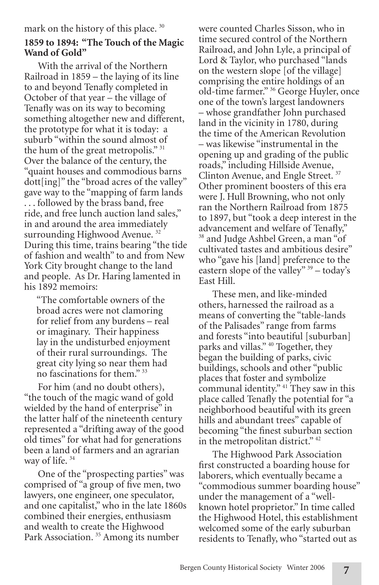### mark on the history of this place.<sup>30</sup>

# **1859 to 1894: "The Touch of the Magic Wand of Gold"**

With the arrival of the Northern Railroad in 1859 – the laying of its line to and beyond Tenafly completed in October of that year – the village of Tenafly was on its way to becoming something altogether new and different, the prototype for what it is today: a suburb "within the sound almost of the hum of the great metropolis."<sup>31</sup> Over the balance of the century, the "quaint houses and commodious barns dott[ing]" the "broad acres of the valley" gave way to the "mapping of farm lands . . . followed by the brass band, free ride, and free lunch auction land sales," in and around the area immediately surrounding Highwood Avenue.<sup>32</sup> During this time, trains bearing "the tide of fashion and wealth" to and from New York City brought change to the land and people. As Dr. Haring lamented in his 1892 memoirs:

"The comfortable owners of the broad acres were not clamoring for relief from any burdens – real or imaginary. Their happiness lay in the undisturbed enjoyment of their rural surroundings. The great city lying so near them had no fascinations for them." 33

For him (and no doubt others), "the touch of the magic wand of gold wielded by the hand of enterprise" in the latter half of the nineteenth century represented a "drifting away of the good old times" for what had for generations been a land of farmers and an agrarian way of life.<sup>34</sup>

One of the "prospecting parties" was comprised of "a group of five men, two lawyers, one engineer, one speculator, and one capitalist," who in the late 1860s combined their energies, enthusiasm and wealth to create the Highwood Park Association.<sup>35</sup> Among its number

were counted Charles Sisson, who in time secured control of the Northern Railroad, and John Lyle, a principal of Lord & Taylor, who purchased "lands on the western slope [of the village] comprising the entire holdings of an old-time farmer." 36 George Huyler, once one of the town's largest landowners – whose grandfather John purchased land in the vicinity in 1780, during the time of the American Revolution – was likewise "instrumental in the opening up and grading of the public roads," including Hillside Avenue,<br>Clinton Avenue, and Engle Street.<sup>37</sup> Clinton Avenue, and Engle Street. Other prominent boosters of this era were J. Hull Browning, who not only ran the Northern Railroad from 1875 to 1897, but "took a deep interest in the advancement and welfare of Tenafly," <sup>38</sup> and Judge Ashbel Green, a man "of cultivated tastes and ambitious desire" who "gave his [land] preference to the eastern slope of the valley" 39 – today's East Hill.

These men, and like-minded others, harnessed the railroad as a means of converting the "table-lands of the Palisades" range from farms and forests "into beautiful [suburban] parks and villas." 40 Together, they began the building of parks, civic buildings, schools and other "public places that foster and symbolize communal identity." 41 They saw in this place called Tenafly the potential for "a neighborhood beautiful with its green hills and abundant trees" capable of becoming "the finest suburban section in the metropolitan district."<sup>42</sup>

The Highwood Park Association first constructed a boarding house for laborers, which eventually became a "commodious summer boarding house" under the management of a "wellknown hotel proprietor." In time called the Highwood Hotel, this establishment welcomed some of the early suburban residents to Tenafly, who "started out as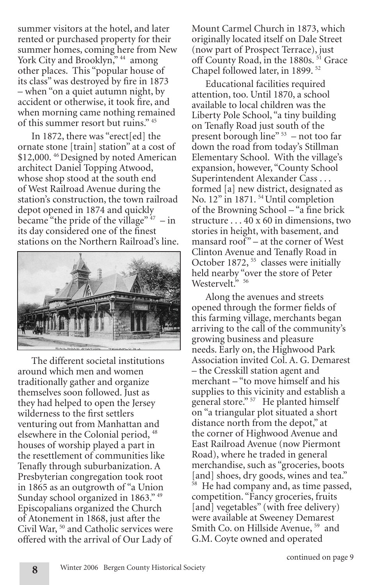summer visitors at the hotel, and later rented or purchased property for their summer homes, coming here from New York City and Brooklyn,"<sup>44</sup> among other places. This "popular house of its class" was destroyed by fire in 1873 – when "on a quiet autumn night, by accident or otherwise, it took fire, and when morning came nothing remained of this summer resort but ruins." 45

In 1872, there was "erect[ed] the ornate stone [train] station" at a cost of \$12,000.<sup>46</sup> Designed by noted American architect Daniel Topping Atwood, whose shop stood at the south end of West Railroad Avenue during the station's construction, the town railroad depot opened in 1874 and quickly became "the pride of the village"  $47 - in$ its day considered one of the finest stations on the Northern Railroad's line.



The different societal institutions around which men and women traditionally gather and organize themselves soon followed. Just as they had helped to open the Jersey wilderness to the first settlers venturing out from Manhattan and elsewhere in the Colonial period, <sup>48</sup> houses of worship played a part in the resettlement of communities like Tenafly through suburbanization. A Presbyterian congregation took root in 1865 as an outgrowth of "a Union Sunday school organized in 1863." <sup>49</sup> Episcopalians organized the Church of Atonement in 1868, just after the Civil War, 50 and Catholic services were offered with the arrival of Our Lady of

Mount Carmel Church in 1873, which originally located itself on Dale Street (now part of Prospect Terrace), just off County Road, in the 1880s.<sup>51</sup> Grace Chapel followed later, in 1899. 52

Educational facilities required attention, too. Until 1870, a school available to local children was the Liberty Pole School, "a tiny building on Tenafly Road just south of the present borough line" 53 – not too far down the road from today's Stillman Elementary School. With the village's expansion, however, "County School Superintendent Alexander Cass . . . formed [a] new district, designated as No. 12" in 1871. 54 Until completion of the Browning School – "a fine brick structure . . . 40 x 60 in dimensions, two stories in height, with basement, and mansard roof" – at the corner of West Clinton Avenue and Tenafly Road in October 1872, <sup>55</sup> classes were initially held nearby "over the store of Peter Westervelt." 56

Along the avenues and streets opened through the former fields of this farming village, merchants began arriving to the call of the community's growing business and pleasure needs. Early on, the Highwood Park Association invited Col. A. G. Demarest – the Cresskill station agent and merchant – "to move himself and his supplies to this vicinity and establish a general store." <sup>57</sup> He planted himself on "a triangular plot situated a short distance north from the depot," at the corner of Highwood Avenue and East Railroad Avenue (now Piermont Road), where he traded in general merchandise, such as "groceries, boots [and] shoes, dry goods, wines and tea." He had company and, as time passed, competition. "Fancy groceries, fruits [and] vegetables" (with free delivery) were available at Sweeney Demarest Smith Co. on Hillside Avenue, <sup>59</sup> and G.M. Coyte owned and operated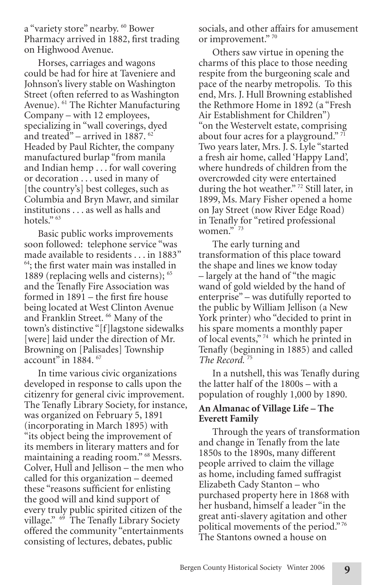a "variety store" nearby. <sup>60</sup> Bower Pharmacy arrived in 1882, first trading on Highwood Avenue.

Horses, carriages and wagons could be had for hire at Taveniere and Johnson's livery stable on Washington Street (often referred to as Washington Avenue). 61 The Richter Manufacturing Company – with 12 employees, specializing in "wall coverings, dyed and treated" – arrived in  $1887$ .  $62$ Headed by Paul Richter, the company manufactured burlap "from manila and Indian hemp . . . for wall covering or decoration . . . used in many of [the country's] best colleges, such as Columbia and Bryn Mawr, and similar institutions . . . as well as halls and hotels."<sup>63</sup>

Basic public works improvements soon followed: telephone service "was made available to residents . . . in 1883" 64 ; the first water main was installed in 1889 (replacing wells and cisterns); 65 and the Tenafly Fire Association was formed in 1891 – the first fire house being located at West Clinton Avenue and Franklin Street. <sup>66</sup> Many of the town's distinctive "[f]lagstone sidewalks [were] laid under the direction of Mr. Browning on [Palisades] Township account" in 1884. 67

In time various civic organizations developed in response to calls upon the citizenry for general civic improvement. The Tenafly Library Society, for instance, was organized on February 5, 1891 (incorporating in March 1895) with "its object being the improvement of its members in literary matters and for maintaining a reading room." 68 Messrs. Colver, Hull and Jellison – the men who called for this organization – deemed these "reasons sufficient for enlisting the good will and kind support of every truly public spirited citizen of the village." <sup>69</sup> The Tenafly Library Society offered the community "entertainments consisting of lectures, debates, public

socials, and other affairs for amusement or improvement." 70

Others saw virtue in opening the charms of this place to those needing respite from the burgeoning scale and pace of the nearby metropolis. To this end, Mrs. J. Hull Browning established the Rethmore Home in 1892 (a "Fresh Air Establishment for Children") "on the Westervelt estate, comprising about four acres for a playground." 71 Two years later, Mrs. J. S. Lyle "started a fresh air home, called 'Happy Land', where hundreds of children from the overcrowded city were entertained during the hot weather."<sup>72</sup> Still later, in 1899, Ms. Mary Fisher opened a home on Jay Street (now River Edge Road) in Tenafly for "retired professional women."<sup>73</sup>

The early turning and transformation of this place toward the shape and lines we know today – largely at the hand of "the magic wand of gold wielded by the hand of enterprise" – was dutifully reported to the public by William Jellison (a New York printer) who "decided to print in his spare moments a monthly paper of local events," 74 which he printed in Tenafly (beginning in 1885) and called *The Record.* 75

In a nutshell, this was Tenafly during the latter half of the 1800s – with a population of roughly 1,000 by 1890.

# **An Almanac of Village Life – The Everett Family**

Through the years of transformation and change in Tenafly from the late 1850s to the 1890s, many different people arrived to claim the village as home, including famed suffragist Elizabeth Cady Stanton – who purchased property here in 1868 with her husband, himself a leader "in the great anti-slavery agitation and other political movements of the period." 76 The Stantons owned a house on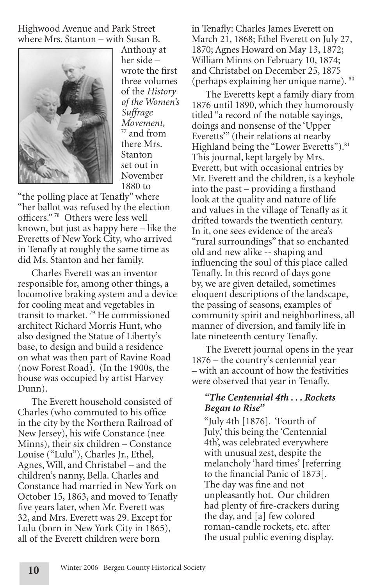Highwood Avenue and Park Street where Mrs. Stanton – with Susan B.



Anthony at her side – wrote the first three volumes of the *History of the Women's Suffrage Movement,*  $77$  and from there Mrs. Stanton set out in November 1880 to

"the polling place at Tenafly" where "her ballot was refused by the election officers." 78 Others were less well known, but just as happy here – like the Everetts of New York City, who arrived in Tenafly at roughly the same time as did Ms. Stanton and her family.

Charles Everett was an inventor responsible for, among other things, a locomotive braking system and a device for cooling meat and vegetables in transit to market. 79 He commissioned architect Richard Morris Hunt, who also designed the Statue of Liberty's base, to design and build a residence on what was then part of Ravine Road (now Forest Road). (In the 1900s, the house was occupied by artist Harvey Dunn).

The Everett household consisted of Charles (who commuted to his office in the city by the Northern Railroad of New Jersey), his wife Constance (nee Minns), their six children – Constance Louise ("Lulu"), Charles Jr., Ethel, Agnes, Will, and Christabel – and the children's nanny, Bella. Charles and Constance had married in New York on October 15, 1863, and moved to Tenafly five years later, when Mr. Everett was 32, and Mrs. Everett was 29. Except for Lulu (born in New York City in 1865), all of the Everett children were born

in Tenafly: Charles James Everett on March 21, 1868; Ethel Everett on July 27, 1870; Agnes Howard on May 13, 1872; William Minns on February 10, 1874; and Christabel on December 25, 1875 (perhaps explaining her unique name). 80

The Everetts kept a family diary from 1876 until 1890, which they humorously titled "a record of the notable sayings, doings and nonsense of the 'Upper Everetts'" (their relations at nearby Highland being the "Lower Everetts").<sup>81</sup> This journal, kept largely by Mrs. Everett, but with occasional entries by Mr. Everett and the children, is a keyhole into the past – providing a firsthand look at the quality and nature of life and values in the village of Tenafly as it drifted towards the twentieth century. In it, one sees evidence of the area's "rural surroundings" that so enchanted old and new alike -- shaping and influencing the soul of this place called Tenafly. In this record of days gone by, we are given detailed, sometimes eloquent descriptions of the landscape, the passing of seasons, examples of community spirit and neighborliness, all manner of diversion, and family life in late nineteenth century Tenafly.

The Everett journal opens in the year 1876 – the country's centennial year – with an account of how the festivities were observed that year in Tenafly.

# *"The Centennial 4th . . . Rockets Began to Rise"*

"July 4th [1876]. 'Fourth of July,' this being the 'Centennial 4th', was celebrated everywhere with unusual zest, despite the melancholy 'hard times' [referring to the financial Panic of 1873]. The day was fine and not unpleasantly hot. Our children had plenty of fire-crackers during the day, and [a] few colored roman-candle rockets, etc. after the usual public evening display.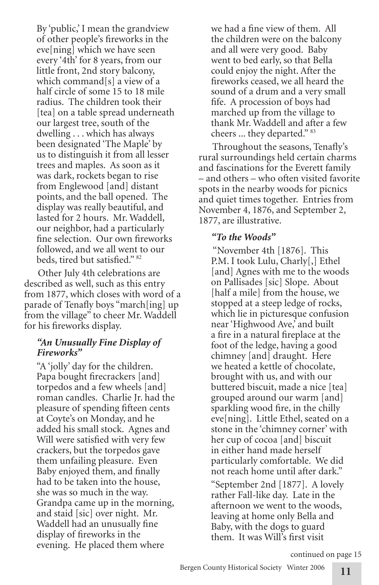By 'public,' I mean the grandview of other people's fireworks in the eve[ning] which we have seen every '4th' for 8 years, from our little front, 2nd story balcony, which command[s] a view of a half circle of some 15 to 18 mile radius. The children took their [tea] on a table spread underneath our largest tree, south of the dwelling . . . which has always been designated 'The Maple' by us to distinguish it from all lesser trees and maples. As soon as it was dark, rockets began to rise from Englewood [and] distant points, and the ball opened. The display was really beautiful, and lasted for 2 hours. Mr. Waddell, our neighbor, had a particularly fine selection. Our own fireworks followed, and we all went to our beds, tired but satisfied." 82

Other July 4th celebrations are described as well, such as this entry from 1877, which closes with word of a parade of Tenafly boys "march[ing] up from the village" to cheer Mr. Waddell for his fireworks display.

### *"An Unusually Fine Display of Fireworks"*

"A 'jolly' day for the children. Papa bought firecrackers [and] torpedos and a few wheels [and] roman candles. Charlie Jr. had the pleasure of spending fifteen cents at Coyte's on Monday, and he added his small stock. Agnes and Will were satisfied with very few crackers, but the torpedos gave them unfailing pleasure. Even Baby enjoyed them, and finally had to be taken into the house, she was so much in the way. Grandpa came up in the morning, and staid [sic] over night. Mr. Waddell had an unusually fine display of fireworks in the evening. He placed them where

we had a fine view of them. All the children were on the balcony and all were very good. Baby went to bed early, so that Bella could enjoy the night. After the fireworks ceased, we all heard the sound of a drum and a very small fife. A procession of boys had marched up from the village to thank Mr. Waddell and after a few cheers ... they departed." 83

Throughout the seasons, Tenafly's rural surroundings held certain charms and fascinations for the Everett family – and others – who often visited favorite spots in the nearby woods for picnics and quiet times together. Entries from November 4, 1876, and September 2, 1877, are illustrative.

# *"To the Woods"*

 "November 4th [1876]. This P.M. I took Lulu, Charly[,] Ethel [and] Agnes with me to the woods on Pallisades [sic] Slope. About [half a mile] from the house, we stopped at a steep ledge of rocks, which lie in picturesque confusion near 'Highwood Ave,' and built a fire in a natural fireplace at the foot of the ledge, having a good chimney [and] draught. Here we heated a kettle of chocolate, brought with us, and with our buttered biscuit, made a nice [tea] grouped around our warm [and] sparkling wood fire, in the chilly eve[ning]. Little Ethel, seated on a stone in the 'chimney corner' with her cup of cocoa [and] biscuit in either hand made herself particularly comfortable. We did not reach home until after dark." "September 2nd [1877]. A lovely rather Fall-like day. Late in the afternoon we went to the woods, leaving at home only Bella and Baby, with the dogs to guard them. It was Will's first visit

continued on page 15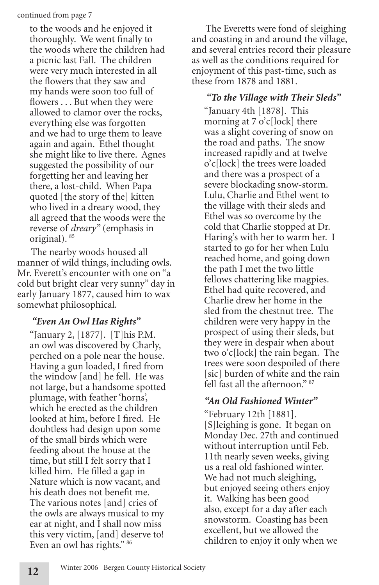### continued from page 7

to the woods and he enjoyed it thoroughly. We went finally to the woods where the children had a picnic last Fall. The children were very much interested in all the flowers that they saw and my hands were soon too full of flowers . . . But when they were allowed to clamor over the rocks, everything else was forgotten and we had to urge them to leave again and again. Ethel thought she might like to live there. Agnes suggested the possibility of our forgetting her and leaving her there, a lost-child. When Papa quoted [the story of the] kitten who lived in a dreary wood, they all agreed that the woods were the reverse of *dreary"* (emphasis in original). 85

The nearby woods housed all manner of wild things, including owls. Mr. Everett's encounter with one on "a cold but bright clear very sunny" day in early January 1877, caused him to wax somewhat philosophical.

# *"Even An Owl Has Rights"*

"January 2, [1877]. [T]his P.M. an owl was discovered by Charly, perched on a pole near the house. Having a gun loaded, I fired from the window [and] he fell. He was not large, but a handsome spotted plumage, with feather 'horns', which he erected as the children looked at him, before I fired. He doubtless had design upon some of the small birds which were feeding about the house at the time, but still I felt sorry that I killed him. He filled a gap in Nature which is now vacant, and his death does not benefit me. The various notes [and] cries of the owls are always musical to my ear at night, and I shall now miss this very victim, [and] deserve to! Even an owl has rights." 86

The Everetts were fond of sleighing and coasting in and around the village, and several entries record their pleasure as well as the conditions required for enjoyment of this past-time, such as these from 1878 and 1881.

# *"To the Village with Their Sleds"*

"January 4th [1878]. This morning at 7 o'c[lock] there was a slight covering of snow on the road and paths. The snow increased rapidly and at twelve o'c[lock] the trees were loaded and there was a prospect of a severe blockading snow-storm. Lulu, Charlie and Ethel went to the village with their sleds and Ethel was so overcome by the cold that Charlie stopped at Dr. Haring's with her to warm her. I started to go for her when Lulu reached home, and going down the path I met the two little fellows chattering like magpies. Ethel had quite recovered, and Charlie drew her home in the sled from the chestnut tree. The children were very happy in the prospect of using their sleds, but they were in despair when about two o'c[lock] the rain began. The trees were soon despoiled of there [sic] burden of white and the rain fell fast all the afternoon." 87

# *"An Old Fashioned Winter"*

"February 12th [1881]. [S]leighing is gone. It began on Monday Dec. 27th and continued without interruption until Feb. 11th nearly seven weeks, giving us a real old fashioned winter. We had not much sleighing, but enjoyed seeing others enjoy it. Walking has been good also, except for a day after each snowstorm. Coasting has been excellent, but we allowed the children to enjoy it only when we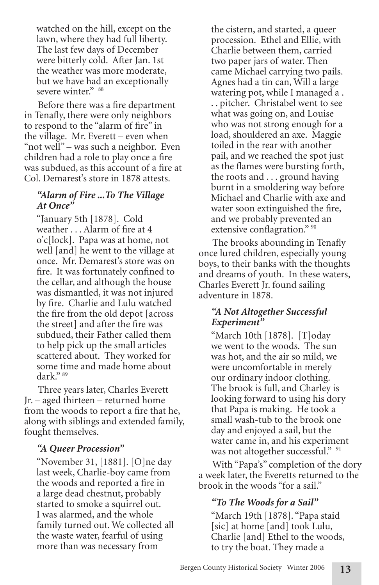watched on the hill, except on the lawn, where they had full liberty. The last few days of December were bitterly cold. After Jan. 1st the weather was more moderate, but we have had an exceptionally severe winter." 88

Before there was a fire department in Tenafly, there were only neighbors to respond to the "alarm of fire" in the village. Mr. Everett – even when "not well" – was such a neighbor. Even children had a role to play once a fire was subdued, as this account of a fire at Col. Demarest's store in 1878 attests.

### *"Alarm of Fire ...To The Village At Once"*

"January 5th [1878]. Cold weather . . . Alarm of fire at 4 o'c[lock]. Papa was at home, not well [and] he went to the village at once. Mr. Demarest's store was on fire. It was fortunately confined to the cellar, and although the house was dismantled, it was not injured by fire. Charlie and Lulu watched the fire from the old depot [across the street] and after the fire was subdued, their Father called them to help pick up the small articles scattered about. They worked for some time and made home about dark." 89

Three years later, Charles Everett Jr. – aged thirteen – returned home from the woods to report a fire that he, along with siblings and extended family, fought themselves.

# *"A Queer Procession"*

"November 31, [1881]. [O]ne day last week, Charlie-boy came from the woods and reported a fire in a large dead chestnut, probably started to smoke a squirrel out. I was alarmed, and the whole family turned out. We collected all the waste water, fearful of using more than was necessary from

the cistern, and started, a queer procession. Ethel and Ellie, with Charlie between them, carried two paper jars of water. Then came Michael carrying two pails. Agnes had a tin can, Will a large watering pot, while I managed a . . . pitcher. Christabel went to see what was going on, and Louise who was not strong enough for a load, shouldered an axe. Maggie toiled in the rear with another pail, and we reached the spot just as the flames were bursting forth, the roots and . . . ground having burnt in a smoldering way before Michael and Charlie with axe and water soon extinguished the fire, and we probably prevented an extensive conflagration." 90

The brooks abounding in Tenafly once lured children, especially young boys, to their banks with the thoughts and dreams of youth. In these waters, Charles Everett Jr. found sailing adventure in 1878.

# *"A Not Altogether Successful Experiment"*

"March 10th [1878]. [T]oday we went to the woods. The sun was hot, and the air so mild, we were uncomfortable in merely our ordinary indoor clothing. The brook is full, and Charley is looking forward to using his dory that Papa is making. He took a small wash-tub to the brook one day and enjoyed a sail, but the water came in, and his experiment was not altogether successful." <sup>91</sup>

With "Papa's" completion of the dory a week later, the Everetts returned to the brook in the woods "for a sail."

# *"To The Woods for a Sail"*

"March 19th [1878]. "Papa staid [sic] at home [and] took Lulu, Charlie [and] Ethel to the woods, to try the boat. They made a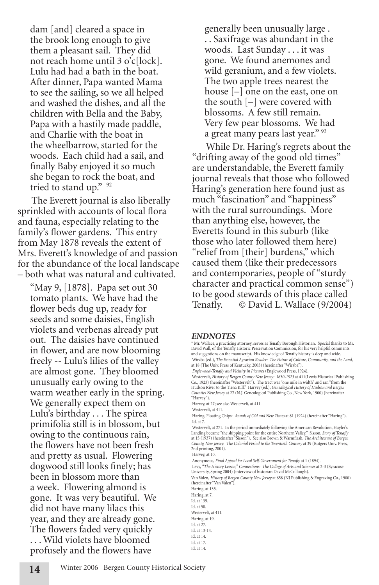dam [and] cleared a space in the brook long enough to give them a pleasant sail. They did not reach home until 3 o'c[lock]. Lulu had had a bath in the boat. After dinner, Papa wanted Mama to see the sailing, so we all helped and washed the dishes, and all the children with Bella and the Baby, Papa with a hastily made paddle, and Charlie with the boat in the wheelbarrow, started for the woods. Each child had a sail, and finally Baby enjoyed it so much she began to rock the boat, and tried to stand up." 92

The Everett journal is also liberally sprinkled with accounts of local flora and fauna, especially relating to the family's flower gardens. This entry from May 1878 reveals the extent of Mrs. Everett's knowledge of and passion for the abundance of the local landscape – both what was natural and cultivated.

warm weather early in the spring. "May 9, [1878]. Papa set out 30 tomato plants. We have had the flower beds dug up, ready for seeds and some daisies, English violets and verbenas already put out. The daisies have continued in flower, and are now blooming freely -- Lulu's lilies of the valley are almost gone. They bloomed unusually early owing to the We generally expect them on Lulu's birthday . . . The spirea primifolia still is in blossom, but owing to the continuous rain, the flowers have not been fresh and pretty as usual. Flowering dogwood still looks finely; has been in blossom more than a week. Flowering almond is gone. It was very beautiful. We did not have many lilacs this year, and they are already gone. The flowers faded very quickly . . . Wild violets have bloomed profusely and the flowers have

generally been unusually large . . . Saxifrage was abundant in the woods. Last Sunday . . . it was gone. We found anemones and wild geranium, and a few violets. The two apple trees nearest the house [–] one on the east, one on the south [–] were covered with blossoms. A few still remain. Very few pear blossoms. We had a great many pears last year." <sup>93</sup>

While Dr. Haring's regrets about the "drifting away of the good old times" are understandable, the Everett family journal reveals that those who followed Haring's generation here found just as much "fascination" and "happiness" with the rural surroundings. More than anything else, however, the Everetts found in this suburb (like those who later followed them here) "relief from [their] burdens," which caused them (like their predecessors and contemporaries, people of "sturdy character and practical common sense") to be good stewards of this place called Tenafly. © David L. Wallace (9/2004)

#### *ENDNOTES*

\* Mr. Wallace, a practicing attorney, serves as Tenafly Borough Historian. Special thanks to Mr. David Wall, of the Tenafly Historic Preservation Commission, for his very helpful comments and suggestions on the manuscript. His knowledge of Tenafly history is deep and wide. Wirzba (ed.), *The Essential Agrarian Reader: The Future of Culture, Community, and the Land,* at 18 (The Univ. Press of Kentucky, 2003) (hereinafter "Wirzba").

*Englewood-Tenafly and Vicinity in Pictures* (Englewood Press, 1924).

 Westervelt, *History of Bergen County New Jersey: 1630-1923* at 411(Lewis Historical Publishing Co., 1923) (hereinafter "Westervelt"). The tract was "one mile in width" and ran "from the Hudson River to the Tiena Kill." Harvey (ed.), *Genealogical History of Hudson and Bergen Counties New Jersey* at 27 (N.J. Genealogical Publishing Co., New York, 1900) (hereinafter "Harvey").

Harvey, at 27; see also Westervelt, at 411.

Westervelt, at 411.

 Haring, Floating Chips: *Annals of Old and New Times* at 81 (1924) (hereinafter "Haring"). Id. at 7.

Westervelt, at 271. In the period immediately following the American Revolution, Huyler's<br>Landing became "the shipping point for the entire Northern Valley." Sisson, S*tory of Tenafly*<br>at 15 (1937) (hereinafter "Sisson"). *County, New Jersey*: *The Colonial Period to the Twentieth Century* at 39 (Rutgers Univ. Press, 2nd printing, 2001). Harvey, at 10.

Anonymous, *Final Appeal for Local Self-Government for Tenafly* at 1 (1894).

Levy, *"The History Lesson," Connections: The College of Arts and Sciences* at 2-3 (Syracuse University, Spring 2004) (interview of historian David McCullough).

Van Valen, *History of Bergen County New Jersey* at 658 (NJ Publishing & Engraving Co., 1900) (hereinafter "Van Valen").

Haring, at 135. Haring, at 7. Id. at 135. Id. at 58. Westervelt, at 411. Haring, at 19. Id. at 27. Id. at 13-14. Id. at 14. Id. at 17. Id. at 14.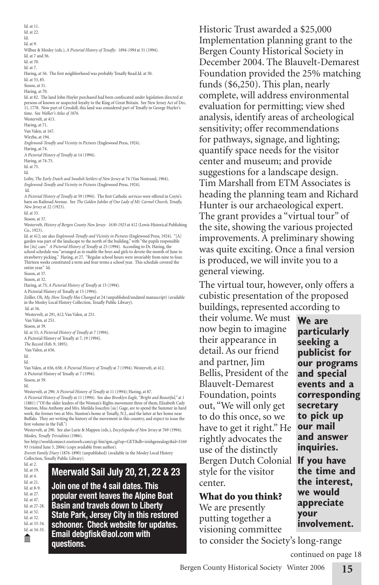Id. at 11. Id. at 22. Id. Id. at 9. Wilbur & Mosley (eds.), *A Pictorial History of Tenafly: 1894-1994* at 31 (1994). Id. at 7 and 56. Id. at 70. Id. at 7. Haring, at 56. The first neighborhood was probably Tenafly Road.Id. at 50. Id. at 53, 85. Sisson, at 31. Haring, at 70. Id. at 82. The land John Huyler purchased had been confiscated under legislation directed at persons of known or suspected loyalty to the King of Great Britain. See New Jersey Act of Dec. 11, 1778. Now part of Cresskill, this land was considered part of Tenafly in George Huyler's time. See *Walker's Atlas of 1876.* Westervelt, at 413. Haring, at 71. Van Valen, at 167. Wirzba, at 194. *Englewood-Tenafly and Vicinity in Pictures* (Englewood Press, 1924). Haring, at 74. *A Pictorial History of Tenafly* at 14 (1994). Haring, at 74-75. Id. at 75. Id. Leiby, *The Early Dutch and Swedish Settlers of New Jersey* at 74 (Van Nostrand, 1964). *Englewood-Tenafly and Vicinity in Pictures* (Englewood Press, 1924). Id. *A Pictorial History of Tenafly* at 59 (1994). The first Catholic services were offered in Coyte's barn on Railroad Avenue. See *The Golden Jubilee of Our Lady of Mt. Carmel Church, Tenafly, New Jersey* at 22 (1923). Id. at 33. Sisson, at 37. Westervelt, *History of Bergen County New Jersey: 1630-1923* at 412 (Lewis Historical Publishing Co., 1923). Id. at 412; see also *Englewood-Tenafly and Vicinity in Pictures* (Englewood Press, 1924). "[A] garden was part of the landscape to the north of the building," with "the pupils responsible for [its] care." *A Pictorial History of Tenafly* at 25 (1994). According to Dr. Haring, the school schedule was "arranged as to enable the boys and girls to devote the month of June to<br>strawberry picking." Haring, at 27. "Regular school hours were invariably from nine to four.<br>Thirteen weeks constituted a term an Sisson, at 37. Sisson, at 32. Haring, at 75; *A Pictorial History of Tenafly* at 15 (1994). A Pictorial History of Tenafly at 15 (1994). Zeiller, *Oh, My, How Tenafly Has Changed* at 24 (unpublished/undated manuscript) (available in the Mosley Local History Collection, Tenafly Public Library). Id. at 36. Westervelt, at 291, 412; Van Valen, at 251. Van Valen, at 251. Sisson, at 39. Id. at 33; *A Pictorial History of Tenafly* at 7 (1994). A Pictorial History of Tenafly at 7, 19 (1994). *The Record* (Feb. 9, 1895). Van Valen, at 656. Id. Id. Van Valen, at 656, 658; *A Pictorial History of Tenafly* at 7 (1994). Westervelt, at 412. A Pictorial History of Tenafly at 7 (1994). Sisson, at 39. Id. Westervelt, at 290; *A Pictorial History of Tenafly* at 11 (1994); Haring, at 87. *A Pictorial History of Tenafly* at 11 (1994). See also *Brooklyn Eagle, "Bright and Beautiful,"* at 1 (1881) ("Of the older leaders of the Woman's Rights movement three of them, Elizabeth Cady Stanton, Miss Anthony and Mrs. Matilda Joacelyn [sic] Gage, are to spend the Summer in hard work, the former two at Mrs. Stanton's home at Tenafly, N.J., and the latter at her home near Buffalo. They are writing the history of the movement in this country, and expect to issue the first volume in the Fall." Westervelt, at 290. See also Lurie & Mappen (eds.), *Encyclopedia of New Jersey* at 769 (1994). Mosley, *Tenafly Trivialities* (1986). See http://worldconnect.rootsweb.com/cgi-bin/igm.cgi?op=GET&db=irishgenealogy&id=I160 93 (visited June 3, 2004) (copy available from author). *Everett Family Diary* (1876-1890) (unpublished) (available in the Mosley Local History Collection, Tenafly Public Library). Id. at 2. Id. at 19. Id. at 4. Id. at 21. Id. at 8-9. Id. at 27. Id. at 47. Id. at 27-28. Id. at 52. Id. at 32. Id. at 33-34. Id. at 34-35. πm Historic Trust awarded a \$25,000 Implementation planning grant to the Bergen County Historical Society in December 2004. The Blauvelt-Demarest Foundation provided the 25% matching funds (\$6,250). This plan, nearly complete, will address environmental evaluation for permitting; view shed analysis, identify areas of archeological sensitivity; offer recommendations for pathways, signage, and lighting; quantify space needs for the visitor center and museum; and provide suggestions for a landscape design. Tim Marshall from ETM Associates is heading the planning team and Richard Hunter is our archaeological expert. The grant provides a "virtual tour" of the site, showing the various projected improvements. A preliminary showing was quite exciting. Once a final version is produced, we will invite you to a general viewing. The virtual tour, however, only offers a cubistic presentation of the proposed buildings, represented according to their volume. We must now begin to imagine their appearance in detail. As our friend and partner, Jim Bellis, President of the Blauvelt-Demarest Foundation, points out, "We will only get to do this once, so we have to get it right." He rightly advocates the use of the distinctly Bergen Dutch Colonial **If you have**  style for the visitor center. What do you think? We are presently putting together a visioning committee **Meerwald Sail July 20, 21, 22 & 23 Join one of the 4 sail dates. This popular event leaves the Alpine Boat Basin and travels down to Liberty State Park, Jersey City in this restored schooner. Check website for updates. Email debgfisk@aol.com with questions.**

to consider the Society's long-range **our programs and special events and a corresponding secretary to pick up our mail and answer inquiries. the time and the interest, we would appreciate your involvement.** continued on page 18

**We are particularly seeking a publicist for** 

**15**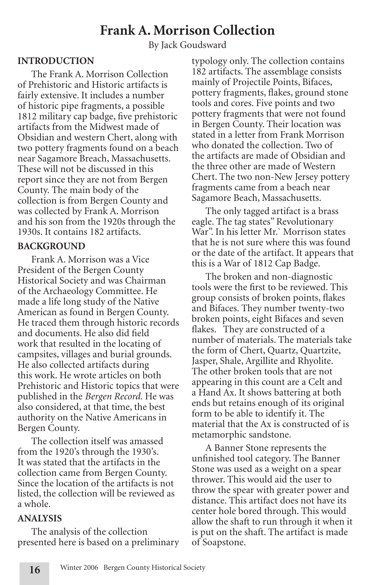# **Frank A. Morrison Collection**

By Jack Goudsward

### **INTRODUCTION**

The Frank A. Morrison Collection of Prehistoric and Historic artifacts is fairly extensive. It includes a number of historic pipe fragments, a possible 1812 military cap badge, five prehistoric artifacts from the Midwest made of Obsidian and western Chert, along with two pottery fragments found on a beach near Sagamore Breach, Massachusetts. These will not be discussed in this report since they are not from Bergen County. The main body of the collection is from Bergen County and was collected by Frank A. Morrison and his son from the 1920s through the 1930s. It contains 182 artifacts.

### **BACKGROUND**

Frank A. Morrison was a Vice President of the Bergen County Historical Society and was Chairman of the Archaeology Committee. He made a life long study of the Native American as found in Bergen County. He traced them through historic records and documents. He also did field work that resulted in the locating of campsites, villages and burial grounds. He also collected artifacts during this work. He wrote articles on both Prehistoric and Historic topics that were published in the *Bergen Record.* He was also considered, at that time, the best authority on the Native Americans in Bergen County.

The collection itself was amassed from the 1920's through the 1930's. It was stated that the artifacts in the collection came from Bergen County. Since the location of the artifacts is not listed, the collection will be reviewed as a whole.

#### **ANALYSIS**

The analysis of the collection presented here is based on a preliminary typology only. The collection contains 182 artifacts. The assemblage consists mainly of Projectile Points, Bifaces, pottery fragments, flakes, ground stone tools and cores. Five points and two pottery fragments that were not found in Bergen County. Their location was stated in a letter from Frank Morrison who donated the collection. Two of the artifacts are made of Obsidian and the three other are made of Western Chert. The two non-New Jersey pottery fragments came from a beach near Sagamore Beach, Massachusetts.

The only tagged artifact is a brass eagle. The tag states" Revolutionary War". In his letter Mr.` Morrison states that he is not sure where this was found or the date of the artifact. It appears that this is a War of 1812 Cap Badge.

The broken and non-diagnostic tools were the first to be reviewed. This group consists of broken points, flakes and Bifaces. They number twenty-two broken points, eight Bifaces and seven flakes. They are constructed of a number of materials. The materials take the form of Chert, Quartz, Quartzite, Jasper, Shale, Argillite and Rhyolite. The other broken tools that are not appearing in this count are a Celt and a Hand Ax. It shows battering at both ends but retains enough of its original form to be able to identify it. The material that the Ax is constructed of is metamorphic sandstone.

A Banner Stone represents the unfinished tool category. The Banner Stone was used as a weight on a spear thrower. This would aid the user to throw the spear with greater power and distance. This artifact does not have its center hole bored through. This would allow the shaft to run through it when it is put on the shaft. The artifact is made of Soapstone.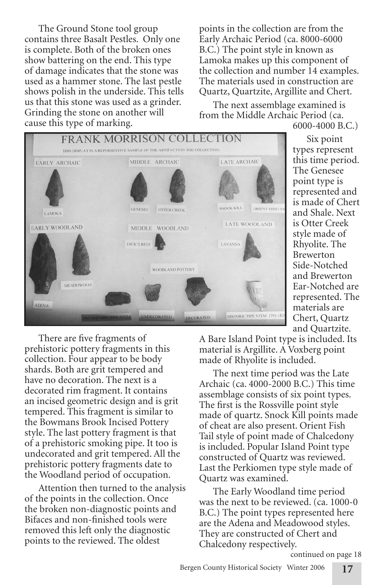The Ground Stone tool group contains three Basalt Pestles. Only one is complete. Both of the broken ones show battering on the end. This type of damage indicates that the stone was used as a hammer stone. The last pestle shows polish in the underside. This tells us that this stone was used as a grinder. Grinding the stone on another will cause this type of marking.

points in the collection are from the Early Archaic Period (ca. 8000-6000 B.C.) The point style in known as Lamoka makes up this component of the collection and number 14 examples. The materials used in construction are Quartz, Quartzite, Argillite and Chert.

The next assemblage examined is from the Middle Archaic Period (ca. 6000-4000 B.C.)



Six point types represent this time period. The Genesee point type is represented and is made of Chert and Shale. Next is Otter Creek style made of Rhyolite. The Brewerton Side-Notched and Brewerton Ear-Notched are represented. The materials are Chert, Quartz and Quartzite.

There are five fragments of prehistoric pottery fragments in this collection. Four appear to be body shards. Both are grit tempered and have no decoration. The next is a decorated rim fragment. It contains an incised geometric design and is grit tempered. This fragment is similar to the Bowmans Brook Incised Pottery style. The last pottery fragment is that of a prehistoric smoking pipe. It too is undecorated and grit tempered. All the prehistoric pottery fragments date to the Woodland period of occupation.

Attention then turned to the analysis of the points in the collection. Once the broken non-diagnostic points and Bifaces and non-finished tools were removed this left only the diagnostic points to the reviewed. The oldest

A Bare Island Point type is included. Its material is Argillite. A Voxberg point made of Rhyolite is included.

The next time period was the Late Archaic (ca. 4000-2000 B.C.) This time assemblage consists of six point types. The first is the Rossville point style made of quartz. Snock Kill points made of cheat are also present. Orient Fish Tail style of point made of Chalcedony is included. Popular Island Point type constructed of Quartz was reviewed. Last the Perkiomen type style made of Quartz was examined.

The Early Woodland time period was the next to be reviewed. (ca. 1000-0 B.C.) The point types represented here are the Adena and Meadowood styles. They are constructed of Chert and Chalcedony respectively.

continued on page 18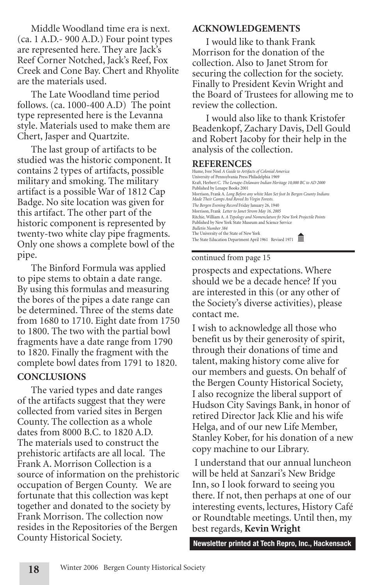Middle Woodland time era is next. (ca. 1 A.D.- 900 A.D.) Four point types are represented here. They are Jack's Reef Corner Notched, Jack's Reef, Fox Creek and Cone Bay. Chert and Rhyolite are the materials used.

The Late Woodland time period follows. (ca. 1000-400 A.D) The point type represented here is the Levanna style. Materials used to make them are Chert, Jasper and Quartzite.

The last group of artifacts to be studied was the historic component. It contains 2 types of artifacts, possible military and smoking. The military artifact is a possible War of 1812 Cap Badge. No site location was given for this artifact. The other part of the historic component is represented by twenty-two white clay pipe fragments. Only one shows a complete bowl of the pipe.

The Binford Formula was applied to pipe stems to obtain a date range. By using this formulas and measuring the bores of the pipes a date range can be determined. Three of the stems date from 1680 to 1710. Eight date from 1750 to 1800. The two with the partial bowl fragments have a date range from 1790 to 1820. Finally the fragment with the complete bowl dates from 1791 to 1820.

### **CONCLUSIONS**

The varied types and date ranges of the artifacts suggest that they were collected from varied sites in Bergen County. The collection as a whole dates from 8000 B.C. to 1820 A.D. The materials used to construct the prehistoric artifacts are all local. The Frank A. Morrison Collection is a source of information on the prehistoric occupation of Bergen County. We are fortunate that this collection was kept together and donated to the society by Frank Morrison. The collection now resides in the Repositories of the Bergen County Historical Society.

### **ACKNOWLEDGEMENTS**

I would like to thank Frank Morrison for the donation of the collection. Also to Janet Strom for securing the collection for the society. Finally to President Kevin Wright and the Board of Trustees for allowing me to review the collection.

I would also like to thank Kristofer Beadenkopf, Zachary Davis, Dell Gould and Robert Jacoby for their help in the analysis of the collection.

### **REFERENCES**

| Hume, Ivor Noel A Guide to Artifacts of Colonial America<br>University of Pennsylvania Press Philadelphia 1969                                                         |
|------------------------------------------------------------------------------------------------------------------------------------------------------------------------|
| Kraft, Herbert C. The Lenape-Delaware Indian Heritage 10,000 BC to AD 2000<br>Published by Lenape Books 2001                                                           |
| Morrison, Frank A. Long Before any white Man Set foot In Bergen County Indians<br>Made Their Camps And Roved Its Virgin Forests.                                       |
| The Bergen Evening Record Friday January 26, 1940                                                                                                                      |
| Morrison, Frank Letter to Janet Strom May 16, 2005                                                                                                                     |
| Ritchie, William A. A Typology and Nomenclature fir New York Projectile Points<br>Published by New York State Museum and Science Service<br><b>Bulletin Number 384</b> |
| The University of the State of New York<br>The State Education Department April 1961 Revised 1971                                                                      |

#### continued from page 15

prospects and expectations. Where should we be a decade hence? If you are interested in this (or any other of the Society's diverse activities), please contact me.

I wish to acknowledge all those who benefit us by their generosity of spirit, through their donations of time and talent, making history come alive for our members and guests. On behalf of the Bergen County Historical Society, I also recognize the liberal support of Hudson City Savings Bank, in honor of retired Director Jack Klie and his wife Helga, and of our new Life Member, Stanley Kober, for his donation of a new copy machine to our Library.

 I understand that our annual luncheon will be held at Sanzari's New Bridge Inn, so I look forward to seeing you there. If not, then perhaps at one of our interesting events, lectures, History Café or Roundtable meetings. Until then, my best regards, **Kevin Wright**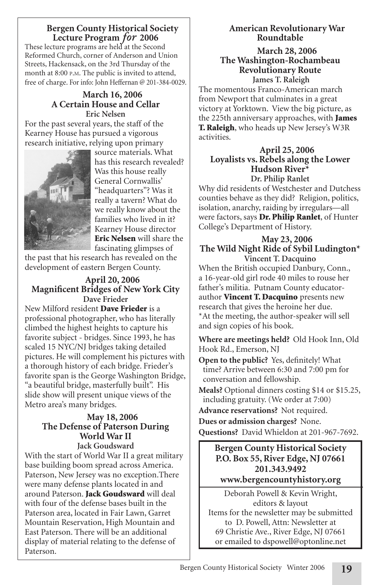### **Bergen County Historical Society Lecture Program** *for* **2006**

These lecture programs are held at the Second Reformed Church, corner of Anderson and Union Streets, Hackensack, on the 3rd Thursday of the month at 8:00 P.M. The public is invited to attend, free of charge. For info: John Heffernan @ 201-384-0029.

# **March 16, 2006 A Certain House and Cellar Eric Nelsen**

For the past several years, the staff of the Kearney House has pursued a vigorous research initiative, relying upon primary



source materials. What has this research revealed? Was this house really General Cornwallis' "headquarters"? Was it really a tavern? What do we really know about the families who lived in it? Kearney House director Eric Nelsen will share the fascinating glimpses of

the past that his research has revealed on the development of eastern Bergen County.

### **April 20, 2006 Magnificent Bridges of New York City Dave Frieder**

New Milford resident **Dave Frieder** is a professional photographer, who has literally climbed the highest heights to capture his favorite subject - bridges. Since 1993, he has scaled 15 NYC/NJ bridges taking detailed pictures. He will complement his pictures with a thorough history of each bridge. Frieder's favorite span is the George Washington Bridge, "a beautiful bridge, masterfully built". His slide show will present unique views of the Metro area's many bridges.

### **May 18, 2006 The Defense of Paterson During World War II Jack Goudsward**

With the start of World War II a great military base building boom spread across America. Paterson, New Jersey was no exception.There were many defense plants located in and around Paterson. **Jack Goudsward** will deal with four of the defense bases built in the Paterson area, located in Fair Lawn, Garret Mountain Reservation, High Mountain and East Paterson. There will be an additional display of material relating to the defense of Paterson.

# **American Revolutionary War Roundtable**

### **March 28, 2006 The Washington-Rochambeau Revolutionary Route James T. Raleigh**

The momentous Franco-American march from Newport that culminates in a great victory at Yorktown. View the big picture, as the 225th anniversary approaches, with **James** T. Raleigh, who heads up New Jersey's W3R activities.

#### **April 25, 2006 Loyalists vs. Rebels along the Lower Hudson River\* Dr. Philip Ranlet**

Why did residents of Westchester and Dutchess counties behave as they did? Religion, politics, isolation, anarchy, raiding by irregulars—all were factors, says Dr. Philip Ranlet, of Hunter College's Department of History.

### **May 23, 2006 The Wild Night Ride of Sybil Ludington\* Vincent T. Dacquino**

When the British occupied Danbury, Conn., a 16-year-old girl rode 40 miles to rouse her father's militia. Putnam County educatorauthor Vincent T. Dacquino presents new research that gives the heroine her due. \*At the meeting, the author-speaker will sell and sign copies of his book.

**Where are meetings held?** Old Hook Inn, Old Hook Rd., Emerson, NJ

**Open to the public?** Yes, definitely! What time? Arrive between 6:30 and 7:00 pm for conversation and fellowship.

**Meals?** Optional dinners costing \$14 or \$15.25, including gratuity. (We order at 7:00)

**Advance reservations?** Not required. **Dues or admission charges?** None. **Questions?** David Whieldon at 201-967-7692.

# **Bergen County Historical Society P.O. Box 55, River Edge, NJ 07661 201.343.9492 www.bergencountyhistory.org**

Deborah Powell & Kevin Wright, editors & layout Items for the newsletter may be submitted to D. Powell, Attn: Newsletter at 69 Christie Ave., River Edge, NJ 07661 or emailed to dspowell@optonline.net